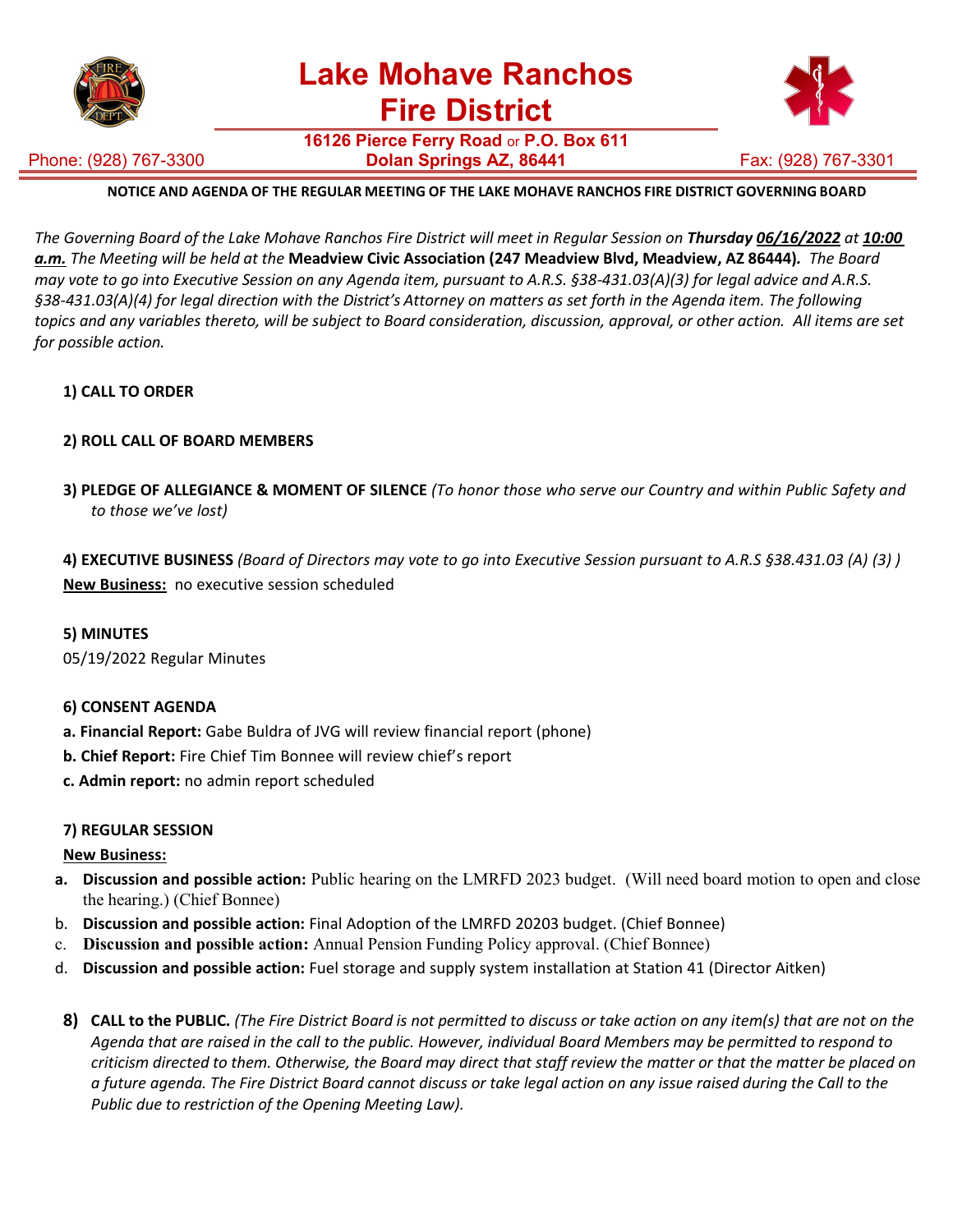

**16126 Pierce Ferry Road** or **P.O. Box 611 Dolan Springs AZ, 86441 Fax: (928) 767-3301** 



# Phone: (928) 767-3300

## **NOTICE AND AGENDA OF THE REGULAR MEETING OF THE LAKE MOHAVE RANCHOS FIRE DISTRICT GOVERNING BOARD**

The Governing Board of the Lake Mohave Ranchos Fire District will meet in Regular Session on Thursday 06/16/2022 at 10:00 a.m. The Meeting will be held at the Meadview Civic Association (247 Meadview Blvd, Meadview, AZ 86444). The Board may vote to go into Executive Session on any Agenda item, pursuant to A.R.S. §38-431.03(A)(3) for legal advice and A.R.S.<br>§38-431.03(A)(4) for legal direction with the District's Attorney on matters as set forth in the Age topics and any variables thereto, will be subject to Board consideration, discussion, approval, or other action. All items are set *for possible action.*

## **1) CALL TO ORDER**

# **2) ROLL CALL OF BOARD MEMBERS**

3) PLEDGE OF ALLEGIANCE & MOMENT OF SILENCE (To honor those who serve our Country and within Public Safety and *to those we've lost)*

4) EXECUTIVE BUSINESS (Board of Directors may vote to go into Executive Session pursuant to A.R.S §38.431.03 (A) (3)) **New Business:** no executive session scheduled

## **5) MINUTES**

05/19/2022 Regular Minutes

## **6) CONSENT AGENDA**

- **a. Financial Report:** Gabe Buldra of JVG will review financial report (phone)
- **b. Chief Report:** Fire Chief Tim Bonnee will review chief's report
- **c. Admin report:** no admin report scheduled

## **7) REGULAR SESSION**

## **New Business:**

- **a. Discussion and possible action:** Public hearing on the LMRFD 2023 budget. (Will need board motion to open and close the hearing.) (Chief Bonnee)
- b. **Discussion and possible action:** Final Adoption of the LMRFD 20203 budget. (Chief Bonnee)
- c. **Discussion and possible action:** Annual Pension Funding Policy approval. (Chief Bonnee)
- d. **Discussion and possible action:** Fuel storage and supply system installation at Station 41 (Director Aitken)
- 8) CALL to the PUBLIC. (The Fire District Board is not permitted to discuss or take action on any item(s) that are not on the Agenda that are raised in the call to the public. However, individual Board Members may be permitted to respond to criticism directed to them. Otherwise, the Board may direct that staff review the matter or that the matter be placed on a future agenda. The Fire District Board cannot discuss or take legal action on any issue raised during the Call to the *Public due to restriction of the Opening Meeting Law).*